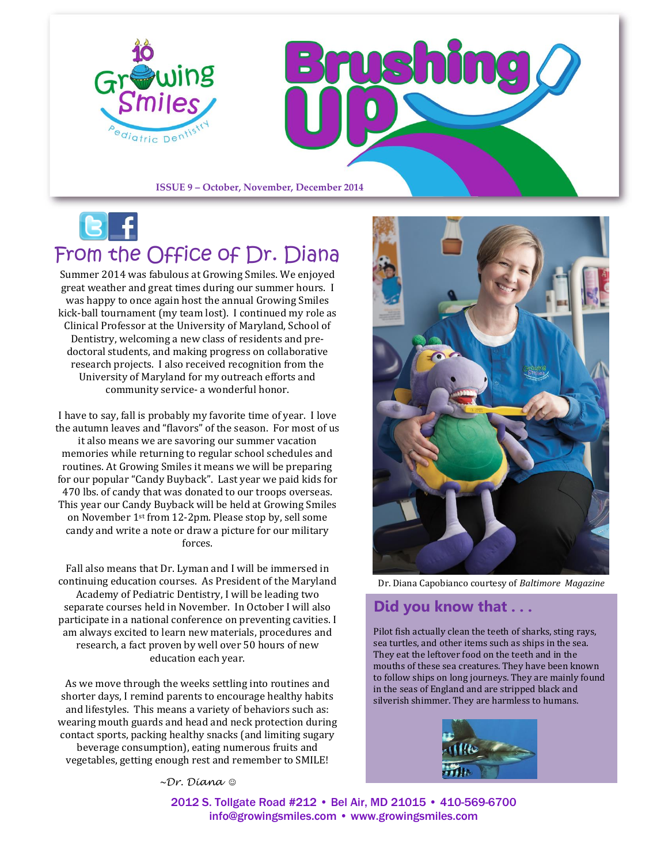

# From the Office of Dr. Diana

Summer 2014 was fabulous at Growing Smiles. We enjoyed great weather and great times during our summer hours. I was happy to once again host the annual Growing Smiles kick-ball tournament (my team lost). I continued my role as Clinical Professor at the University of Maryland, School of Dentistry, welcoming a new class of residents and predoctoral students, and making progress on collaborative research projects. I also received recognition from the University of Maryland for my outreach efforts and community service- a wonderful honor.

I have to say, fall is probably my favorite time of year. I love the autumn leaves and "flavors" of the season. For most of us it also means we are savoring our summer vacation memories while returning to regular school schedules and routines. At Growing Smiles it means we will be preparing for our popular "Candy Buyback". Last year we paid kids for 470 lbs. of candy that was donated to our troops overseas. This year our Candy Buyback will be held at Growing Smiles on November 1st from 12-2pm. Please stop by, sell some candy and write a note or draw a picture for our military forces.

Fall also means that Dr. Lyman and I will be immersed in continuing education courses. As President of the Maryland Academy of Pediatric Dentistry, I will be leading two separate courses held in November. In October I will also participate in a national conference on preventing cavities. I am always excited to learn new materials, procedures and research, a fact proven by well over 50 hours of new education each year.

As we move through the weeks settling into routines and shorter days, I remind parents to encourage healthy habits and lifestyles. This means a variety of behaviors such as: wearing mouth guards and head and neck protection during contact sports, packing healthy snacks (and limiting sugary beverage consumption), eating numerous fruits and vegetables, getting enough rest and remember to SMILE!

Dr. Diana Capobianco courtesy of *Baltimore Magazine*

### **Did you know that . . .**

Pilot fish actually clean the teeth of sharks, sting rays, sea turtles, and other items such as ships in the sea. They eat the leftover food on the teeth and in the mouths of these sea creatures. They have been known to follow ships on long journeys. They are mainly found in the seas of England and are stripped black and silverish shimmer. They are harmless to humans.



*~Dr. Diana* 

2012 S. Tollgate Road #212 • Bel Air, MD 21015 • 410-569-6700 [info@growingsmiles.com](mailto:info@growingsmiles.com) • [www.growingsmiles.com](http://www.growingsmiles.com/)